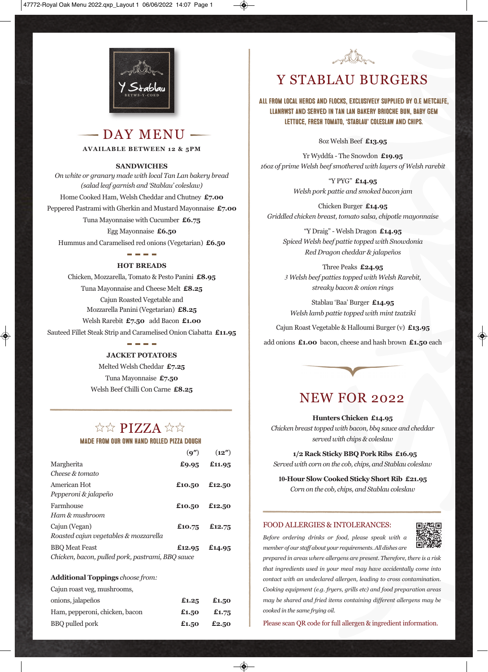

 $-$  DAY MENU  $-$ **AvAilABle BeTween 12 & 5Pm**

#### **SAnDwiCHeS**

*On white or granary made with local Tan Lan bakery bread (salad leaf garnish and 'Stablau' coleslaw)* Home Cooked Ham, Welsh Cheddar and Chutney **£7.00** Peppered Pastrami with Gherkin and Mustard Mayonnaise **£7.00** Tuna Mayonnaise with Cucumber **£6.75** Egg Mayonnaise **£6.50** Hummus and Caramelised red onions (Vegetarian) **£6.50**

### والمراجع والمراجع **HOT BReADS**

Chicken, Mozzarella, Tomato & Pesto Panini **£8.95** Tuna Mayonnaise and Cheese Melt **£8.25** Cajun Roasted Vegetable and Mozzarella Panini (Vegetarian) **£8.25** Welsh Rarebit **£7.50** add Bacon **£1.00** Sauteed Fillet Steak Strip and Caramelised Onion Ciabatta **£11.95**

**JACKeT POTATOeS**

Melted Welsh Cheddar **£7.25** Tuna Mayonnaise **£7.50** Welsh Beef Chilli Con Carne **£8.25**

### \*\* PIZZA \*\*

#### Made from our own hand rolled pizza dough

|                                                  | (q'')         | (12'') |
|--------------------------------------------------|---------------|--------|
| Margherita                                       | £9.95         | £11.95 |
| Cheese & tomato                                  |               |        |
| American Hot                                     | £10.50        | £12.50 |
| Pepperoni & jalapeño                             |               |        |
| Farmhouse                                        | £10.50 £12.50 |        |
| Ham & mushroom                                   |               |        |
| Cajun (Vegan)                                    | £10.75 £12.75 |        |
| Roasted cajun vegetables & mozzarella            |               |        |
| <b>BBO</b> Meat Feast                            | £12.95 £14.95 |        |
| Chicken, bacon, pulled pork, pastrami, BBQ sauce |               |        |

#### **Additional Toppings** *choose from:*

| Cajun roast veg, mushrooms,    |       |       |
|--------------------------------|-------|-------|
| onions, jalapeños              | £1.25 | £1.50 |
| Ham, pepperoni, chicken, bacon | £1.50 | £1.75 |
| BBQ pulled pork                | £1.50 | £2.50 |



## Y STABLAU BURGERS

All from local herds and flocks, exclusively supplied by O.E Metcalfe, Llanrwst and served in Tan Lan Bakery brioche bun, baby gem lettuce, fresh tomato, 'Stablau' coleslaw and chips.

8oz Welsh Beef **£13.95**

Yr Wyddfa - The Snowdon **£19.95** *16oz of prime Welsh beef smothered with layers of Welsh rarebit*

> "Y PYG" **£14.95** *Welsh pork pattie and smoked bacon jam*

Chicken Burger **£14.95** *Griddled chicken breast, tomato salsa, chipotle mayonnaise*

"Y Draig" - Welsh Dragon **£14.95** *Spiced Welsh beef pattie topped with Snowdonia Red Dragon cheddar & jalapeños*

Three Peaks **£24.95** *3 Welsh beef patties topped with Welsh Rarebit, streaky bacon & onion rings*

Stablau 'Baa' Burger **£14.95** *Welsh lamb pattie topped with mint tzatziki*

Cajun Roast Vegetable & Halloumi Burger (v) **£13.95**

add onions **£1.00** bacon, cheese and hash brown **£1.50** each



## NEW FOR 2022

#### **Hunters Chicken £14.95**

*Chicken breasttopped with bacon, bbq sauce and cheddar served with chips & coleslaw*

**1/2 Rack Sticky BBQ Pork Ribs £16.95** *Served with corn on the cob, chips, and Stablau coleslaw*

**10-Hour Slow Cooked Sticky Short Rib £21.95** *Corn on the cob, chips, and Stablau coleslaw*

#### FOOD ALLERGIES & INTOLERANCES:

*Before ordering drinks or food, please speak with a member of our staff about your requirements.All dishes are*



*prepared in areas where allergens are present. Therefore, there is a risk that ingredients used in your meal may have accidentally come into contact with an undeclared allergen, leading to cross contamination. Cooking equipment (e.g. fryers, grills etc) and food preparation areas may be shared and fried items containing different allergens may be cooked in the same frying oil.*

Please scan QR code for full allergen & ingredient information.